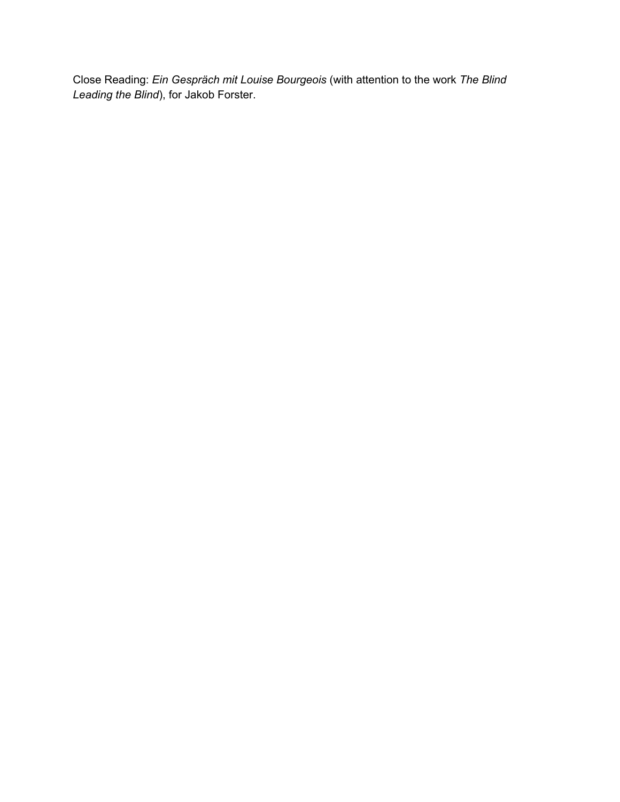Close Reading: *Ein Gespräch mit Louise Bourgeois* (with attention to the work *The Blind Leading the Blind*), for Jakob Forster.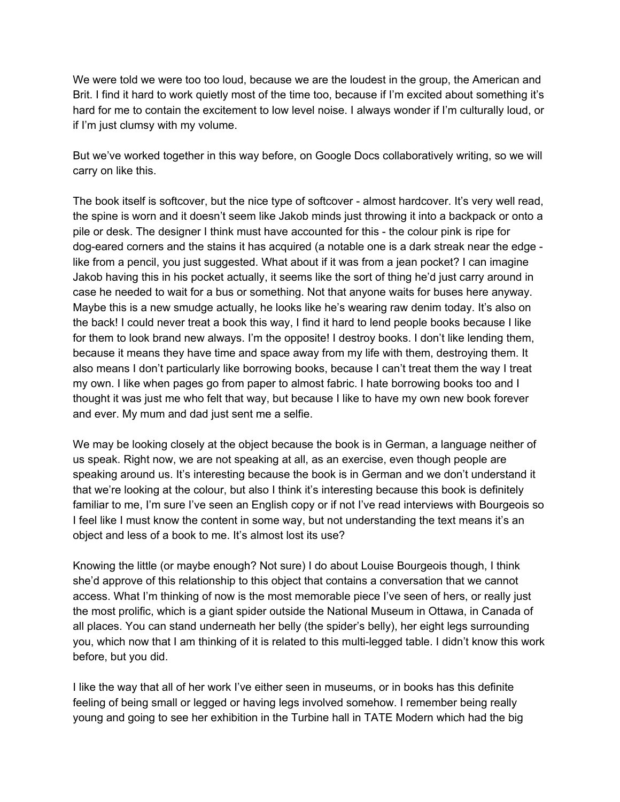We were told we were too too loud, because we are the loudest in the group, the American and Brit. I find it hard to work quietly most of the time too, because if I'm excited about something it's hard for me to contain the excitement to low level noise. I always wonder if I'm culturally loud, or if I'm just clumsy with my volume.

But we've worked together in this way before, on Google Docs collaboratively writing, so we will carry on like this.

The book itself is softcover, but the nice type of softcover - almost hardcover. It's very well read, the spine is worn and it doesn't seem like Jakob minds just throwing it into a backpack or onto a pile or desk. The designer I think must have accounted for this - the colour pink is ripe for dog-eared corners and the stains it has acquired (a notable one is a dark streak near the edge like from a pencil, you just suggested. What about if it was from a jean pocket? I can imagine Jakob having this in his pocket actually, it seems like the sort of thing he'd just carry around in case he needed to wait for a bus or something. Not that anyone waits for buses here anyway. Maybe this is a new smudge actually, he looks like he's wearing raw denim today. It's also on the back! I could never treat a book this way, I find it hard to lend people books because I like for them to look brand new always. I'm the opposite! I destroy books. I don't like lending them, because it means they have time and space away from my life with them, destroying them. It also means I don't particularly like borrowing books, because I can't treat them the way I treat my own. I like when pages go from paper to almost fabric. I hate borrowing books too and I thought it was just me who felt that way, but because I like to have my own new book forever and ever. My mum and dad just sent me a selfie.

We may be looking closely at the object because the book is in German, a language neither of us speak. Right now, we are not speaking at all, as an exercise, even though people are speaking around us. It's interesting because the book is in German and we don't understand it that we're looking at the colour, but also I think it's interesting because this book is definitely familiar to me, I'm sure I've seen an English copy or if not I've read interviews with Bourgeois so I feel like I must know the content in some way, but not understanding the text means it's an object and less of a book to me. It's almost lost its use?

Knowing the little (or maybe enough? Not sure) I do about Louise Bourgeois though, I think she'd approve of this relationship to this object that contains a conversation that we cannot access. What I'm thinking of now is the most memorable piece I've seen of hers, or really just the most prolific, which is a giant spider outside the National Museum in Ottawa, in Canada of all places. You can stand underneath her belly (the spider's belly), her eight legs surrounding you, which now that I am thinking of it is related to this multi-legged table. I didn't know this work before, but you did.

I like the way that all of her work I've either seen in museums, or in books has this definite feeling of being small or legged or having legs involved somehow. I remember being really young and going to see her exhibition in the Turbine hall in TATE Modern which had the big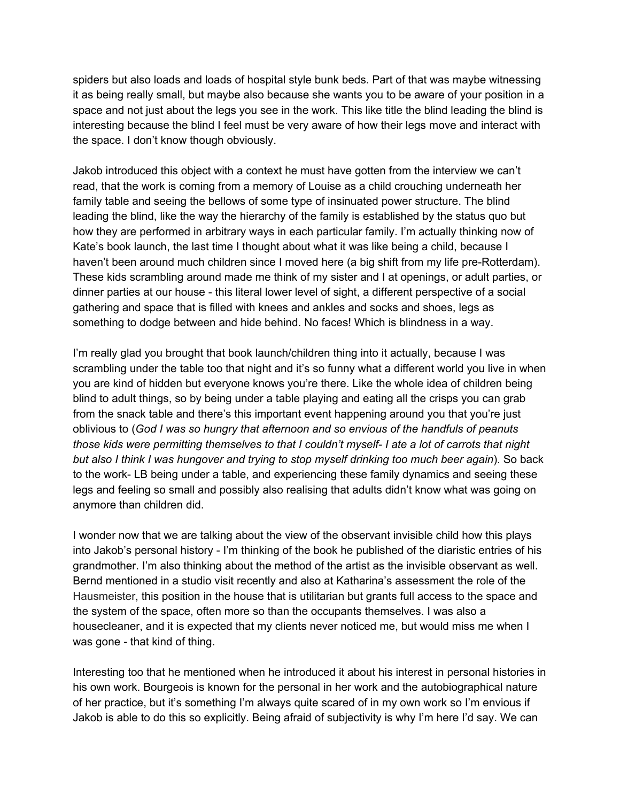spiders but also loads and loads of hospital style bunk beds. Part of that was maybe witnessing it as being really small, but maybe also because she wants you to be aware of your position in a space and not just about the legs you see in the work. This like title the blind leading the blind is interesting because the blind I feel must be very aware of how their legs move and interact with the space. I don't know though obviously.

Jakob introduced this object with a context he must have gotten from the interview we can't read, that the work is coming from a memory of Louise as a child crouching underneath her family table and seeing the bellows of some type of insinuated power structure. The blind leading the blind, like the way the hierarchy of the family is established by the status quo but how they are performed in arbitrary ways in each particular family. I'm actually thinking now of Kate's book launch, the last time I thought about what it was like being a child, because I haven't been around much children since I moved here (a big shift from my life pre-Rotterdam). These kids scrambling around made me think of my sister and I at openings, or adult parties, or dinner parties at our house - this literal lower level of sight, a different perspective of a social gathering and space that is filled with knees and ankles and socks and shoes, legs as something to dodge between and hide behind. No faces! Which is blindness in a way.

I'm really glad you brought that book launch/children thing into it actually, because I was scrambling under the table too that night and it's so funny what a different world you live in when you are kind of hidden but everyone knows you're there. Like the whole idea of children being blind to adult things, so by being under a table playing and eating all the crisps you can grab from the snack table and there's this important event happening around you that you're just oblivious to (*God I was so hungry that afternoon and so envious of the handfuls of peanuts those kids were permitting themselves to that I couldn't myself- I ate a lot of carrots that night but also I think I was hungover and trying to stop myself drinking too much beer again*). So back to the work- LB being under a table, and experiencing these family dynamics and seeing these legs and feeling so small and possibly also realising that adults didn't know what was going on anymore than children did.

I wonder now that we are talking about the view of the observant invisible child how this plays into Jakob's personal history - I'm thinking of the book he published of the diaristic entries of his grandmother. I'm also thinking about the method of the artist as the invisible observant as well. Bernd mentioned in a studio visit recently and also at Katharina's assessment the role of the Hausmeister, this position in the house that is utilitarian but grants full access to the space and the system of the space, often more so than the occupants themselves. I was also a housecleaner, and it is expected that my clients never noticed me, but would miss me when I was gone - that kind of thing.

Interesting too that he mentioned when he introduced it about his interest in personal histories in his own work. Bourgeois is known for the personal in her work and the autobiographical nature of her practice, but it's something I'm always quite scared of in my own work so I'm envious if Jakob is able to do this so explicitly. Being afraid of subjectivity is why I'm here I'd say. We can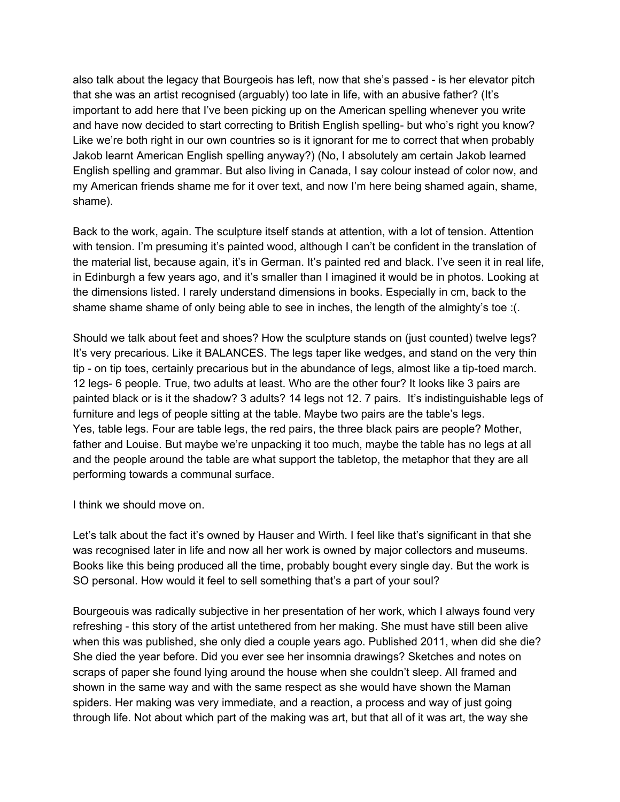also talk about the legacy that Bourgeois has left, now that she's passed - is her elevator pitch that she was an artist recognised (arguably) too late in life, with an abusive father? (It's important to add here that I've been picking up on the American spelling whenever you write and have now decided to start correcting to British English spelling- but who's right you know? Like we're both right in our own countries so is it ignorant for me to correct that when probably Jakob learnt American English spelling anyway?) (No, I absolutely am certain Jakob learned English spelling and grammar. But also living in Canada, I say colour instead of color now, and my American friends shame me for it over text, and now I'm here being shamed again, shame, shame).

Back to the work, again. The sculpture itself stands at attention, with a lot of tension. Attention with tension. I'm presuming it's painted wood, although I can't be confident in the translation of the material list, because again, it's in German. It's painted red and black. I've seen it in real life, in Edinburgh a few years ago, and it's smaller than I imagined it would be in photos. Looking at the dimensions listed. I rarely understand dimensions in books. Especially in cm, back to the shame shame shame of only being able to see in inches, the length of the almighty's toe :(.

Should we talk about feet and shoes? How the sculpture stands on (just counted) twelve legs? It's very precarious. Like it BALANCES. The legs taper like wedges, and stand on the very thin tip - on tip toes, certainly precarious but in the abundance of legs, almost like a tip-toed march. 12 legs- 6 people. True, two adults at least. Who are the other four? It looks like 3 pairs are painted black or is it the shadow? 3 adults? 14 legs not 12. 7 pairs. It's indistinguishable legs of furniture and legs of people sitting at the table. Maybe two pairs are the table's legs. Yes, table legs. Four are table legs, the red pairs, the three black pairs are people? Mother, father and Louise. But maybe we're unpacking it too much, maybe the table has no legs at all and the people around the table are what support the tabletop, the metaphor that they are all performing towards a communal surface.

I think we should move on.

Let's talk about the fact it's owned by Hauser and Wirth. I feel like that's significant in that she was recognised later in life and now all her work is owned by major collectors and museums. Books like this being produced all the time, probably bought every single day. But the work is SO personal. How would it feel to sell something that's a part of your soul?

Bourgeouis was radically subjective in her presentation of her work, which I always found very refreshing - this story of the artist untethered from her making. She must have still been alive when this was published, she only died a couple years ago. Published 2011, when did she die? She died the year before. Did you ever see her insomnia drawings? Sketches and notes on scraps of paper she found lying around the house when she couldn't sleep. All framed and shown in the same way and with the same respect as she would have shown the Maman spiders. Her making was very immediate, and a reaction, a process and way of just going through life. Not about which part of the making was art, but that all of it was art, the way she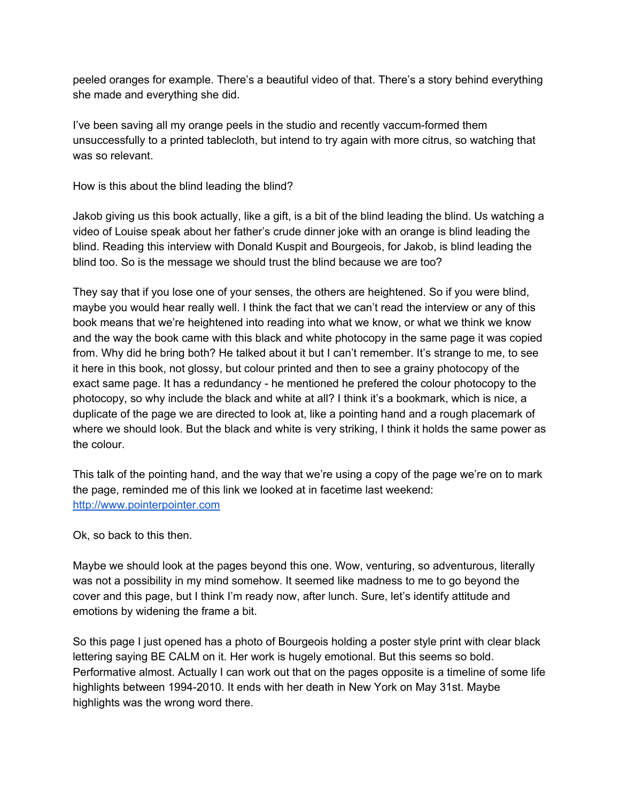peeled oranges for example. There's a beautiful video of that. There's a story behind everything she made and everything she did.

I've been saving all my orange peels in the studio and recently vaccum-formed them unsuccessfully to a printed tablecloth, but intend to try again with more citrus, so watching that was so relevant.

How is this about the blind leading the blind?

Jakob giving us this book actually, like a gift, is a bit of the blind leading the blind. Us watching a video of Louise speak about her father's crude dinner joke with an orange is blind leading the blind. Reading this interview with Donald Kuspit and Bourgeois, for Jakob, is blind leading the blind too. So is the message we should trust the blind because we are too?

They say that if you lose one of your senses, the others are heightened. So if you were blind, maybe you would hear really well. I think the fact that we can't read the interview or any of this book means that we're heightened into reading into what we know, or what we think we know and the way the book came with this black and white photocopy in the same page it was copied from. Why did he bring both? He talked about it but I can't remember. It's strange to me, to see it here in this book, not glossy, but colour printed and then to see a grainy photocopy of the exact same page. It has a redundancy - he mentioned he prefered the colour photocopy to the photocopy, so why include the black and white at all? I think it's a bookmark, which is nice, a duplicate of the page we are directed to look at, like a pointing hand and a rough placemark of where we should look. But the black and white is very striking, I think it holds the same power as the colour.

This talk of the pointing hand, and the way that we're using a copy of the page we're on to mark the page, reminded me of this link we looked at in facetime last weekend: [http://www.pointerpointer.com](http://www.pointerpointer.com/)

Ok, so back to this then.

Maybe we should look at the pages beyond this one. Wow, venturing, so adventurous, literally was not a possibility in my mind somehow. It seemed like madness to me to go beyond the cover and this page, but I think I'm ready now, after lunch. Sure, let's identify attitude and emotions by widening the frame a bit.

So this page I just opened has a photo of Bourgeois holding a poster style print with clear black lettering saying BE CALM on it. Her work is hugely emotional. But this seems so bold. Performative almost. Actually I can work out that on the pages opposite is a timeline of some life highlights between 1994-2010. It ends with her death in New York on May 31st. Maybe highlights was the wrong word there.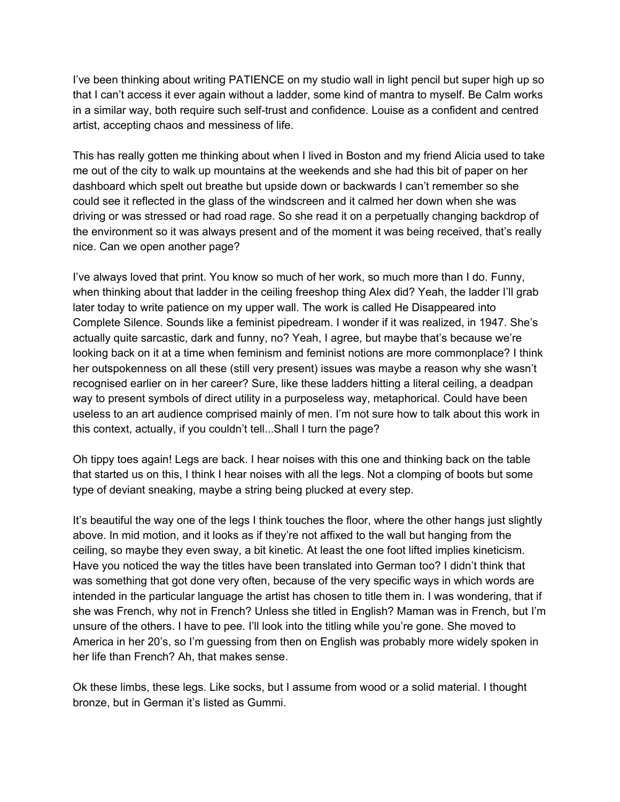I've been thinking about writing PATIENCE on my studio wall in light pencil but super high up so that I can't access it ever again without a ladder, some kind of mantra to myself. Be Calm works in a similar way, both require such self-trust and confidence. Louise as a confident and centred artist, accepting chaos and messiness of life.

This has really gotten me thinking about when I lived in Boston and my friend Alicia used to take me out of the city to walk up mountains at the weekends and she had this bit of paper on her dashboard which spelt out breathe but upside down or backwards I can't remember so she could see it reflected in the glass of the windscreen and it calmed her down when she was driving or was stressed or had road rage. So she read it on a perpetually changing backdrop of the environment so it was always present and of the moment it was being received, that's really nice. Can we open another page?

I've always loved that print. You know so much of her work, so much more than I do. Funny, when thinking about that ladder in the ceiling freeshop thing Alex did? Yeah, the ladder I'll grab later today to write patience on my upper wall. The work is called He Disappeared into Complete Silence. Sounds like a feminist pipedream. I wonder if it was realized, in 1947. She's actually quite sarcastic, dark and funny, no? Yeah, I agree, but maybe that's because we're looking back on it at a time when feminism and feminist notions are more commonplace? I think her outspokenness on all these (still very present) issues was maybe a reason why she wasn't recognised earlier on in her career? Sure, like these ladders hitting a literal ceiling, a deadpan way to present symbols of direct utility in a purposeless way, metaphorical. Could have been useless to an art audience comprised mainly of men. I'm not sure how to talk about this work in this context, actually, if you couldn't tell...Shall I turn the page?

Oh tippy toes again! Legs are back. I hear noises with this one and thinking back on the table that started us on this, I think I hear noises with all the legs. Not a clomping of boots but some type of deviant sneaking, maybe a string being plucked at every step.

It's beautiful the way one of the legs I think touches the floor, where the other hangs just slightly above. In mid motion, and it looks as if they're not affixed to the wall but hanging from the ceiling, so maybe they even sway, a bit kinetic. At least the one foot lifted implies kineticism. Have you noticed the way the titles have been translated into German too? I didn't think that was something that got done very often, because of the very specific ways in which words are intended in the particular language the artist has chosen to title them in. I was wondering, that if she was French, why not in French? Unless she titled in English? Maman was in French, but I'm unsure of the others. I have to pee. I'll look into the titling while you're gone. She moved to America in her 20's, so I'm guessing from then on English was probably more widely spoken in her life than French? Ah, that makes sense.

Ok these limbs, these legs. Like socks, but I assume from wood or a solid material. I thought bronze, but in German it's listed as Gummi.